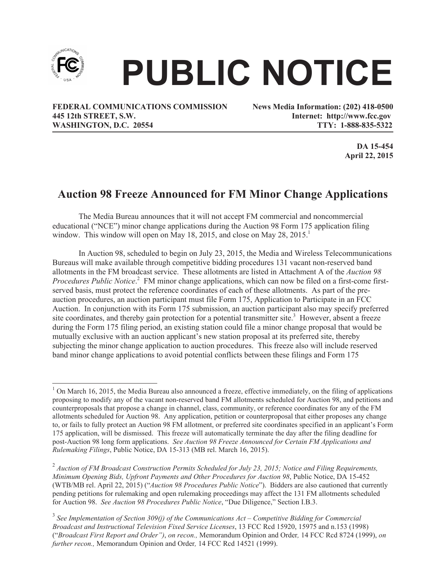

## **PUBLIC NOTICE**

**FEDERAL COMMUNICATIONS COMMISSION News Media Information: (202) 418-0500 445 12th STREET, S.W. Internet: http://www.fcc.gov WASHINGTON, D.C. 20554 TTY: 1-888-835-5322**

**DA 15-454 April 22, 2015**

## **Auction 98 Freeze Announced for FM Minor Change Applications**

The Media Bureau announces that it will not accept FM commercial and noncommercial educational ("NCE") minor change applications during the Auction 98 Form 175 application filing window. This window will open on May 18, 2015, and close on May  $28, 2015$ .<sup>1</sup>

In Auction 98, scheduled to begin on July 23, 2015, the Media and Wireless Telecommunications Bureaus will make available through competitive bidding procedures 131 vacant non-reserved band allotments in the FM broadcast service. These allotments are listed in Attachment A of the *Auction 98 Procedures Public Notice.* <sup>2</sup> FM minor change applications, which can now be filed on a first-come firstserved basis, must protect the reference coordinates of each of these allotments. As part of the preauction procedures, an auction participant must file Form 175, Application to Participate in an FCC Auction. In conjunction with its Form 175 submission, an auction participant also may specify preferred site coordinates, and thereby gain protection for a potential transmitter site.<sup>3</sup> However, absent a freeze during the Form 175 filing period, an existing station could file a minor change proposal that would be mutually exclusive with an auction applicant's new station proposal at its preferred site, thereby subjecting the minor change application to auction procedures. This freeze also will include reserved band minor change applications to avoid potential conflicts between these filings and Form 175

 $1$  On March 16, 2015, the Media Bureau also announced a freeze, effective immediately, on the filing of applications proposing to modify any of the vacant non-reserved band FM allotments scheduled for Auction 98, and petitions and counterproposals that propose a change in channel, class, community, or reference coordinates for any of the FM allotments scheduled for Auction 98. Any application, petition or counterproposal that either proposes any change to, or fails to fully protect an Auction 98 FM allotment, or preferred site coordinates specified in an applicant's Form 175 application, will be dismissed. This freeze will automatically terminate the day after the filing deadline for post-Auction 98 long form applications. *See Auction 98 Freeze Announced for Certain FM Applications and Rulemaking Filings*, Public Notice, DA 15-313 (MB rel. March 16, 2015).

<sup>2</sup> *Auction of FM Broadcast Construction Permits Scheduled for July 23, 2015; Notice and Filing Requirements, Minimum Opening Bids, Upfront Payments and Other Procedures for Auction 98*, Public Notice, DA 15-452 (WTB/MB rel. April 22, 2015) ("*Auction 98 Procedures Public Notice*"). Bidders are also cautioned that currently pending petitions for rulemaking and open rulemaking proceedings may affect the 131 FM allotments scheduled for Auction 98. *See Auction 98 Procedures Public Notice*, "Due Diligence," Section I.B.3.

<sup>3</sup> *See Implementation of Section 309(j) of the Communications Act – Competitive Bidding for Commercial Broadcast and Instructional Television Fixed Service Licenses*, 13 FCC Rcd 15920, 15975 and n.153 (1998) ("*Broadcast First Report and Order")*, *on recon.,* Memorandum Opinion and Order*,* 14 FCC Rcd 8724 (1999), *on further recon.,* Memorandum Opinion and Order*,* 14 FCC Rcd 14521 (1999).